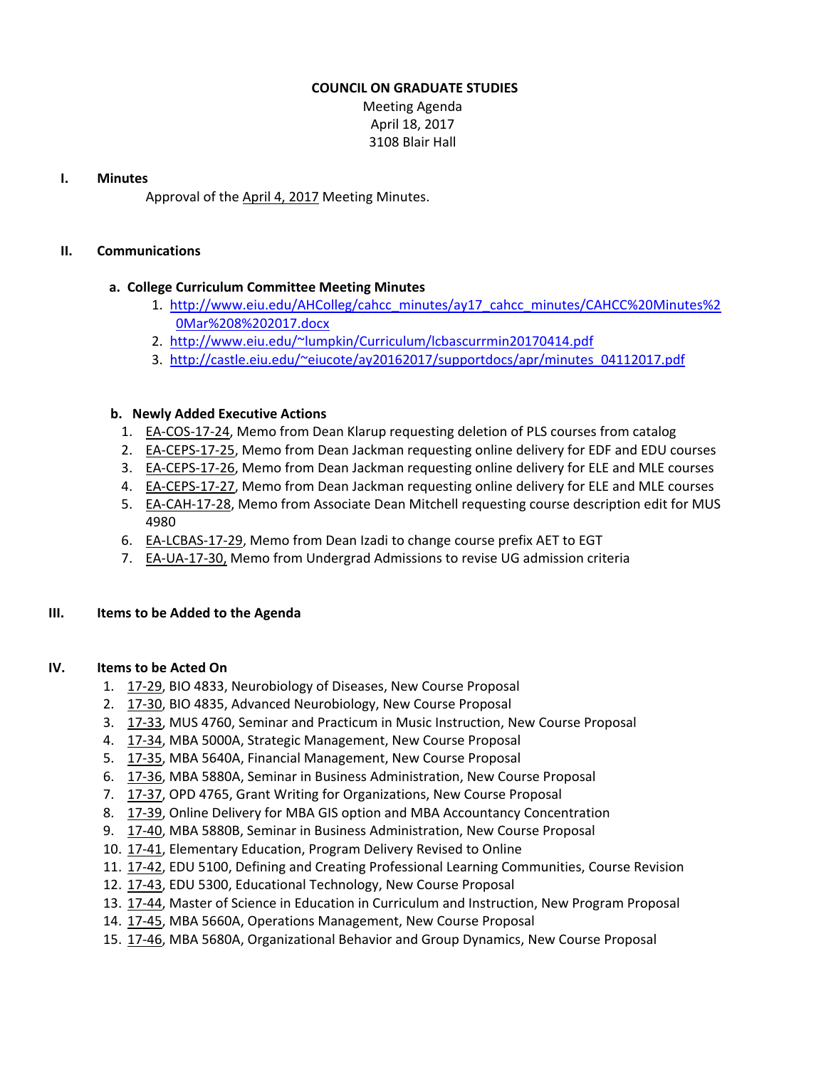## **COUNCIL ON GRADUATE STUDIES**

Meeting Agenda April 18, 2017 3108 Blair Hall

## **I. Minutes**

Approval of the [April](http://castle.eiu.edu/eiucgs/currentminutes/Minutes4-4-17.pdf) 4, 2017 Meeting Minutes.

## **II. Communications**

## **a. College Curriculum Committee Meeting Minutes**

- 1. [http://www.eiu.edu/AHColleg/cahcc\\_m](http://www.eiu.edu/AHColleg/cahcc_minutes/ay17_cahcc_minutes/CAHCC%20Minutes%20Mar%208%202017.docx)inutes/ay17\_cahcc\_minutes/CAHCC%20Minutes%2 0Mar%208%202017.docx
- 2. <http://www.eiu.edu/~lumpkin/Curriculum/lcbascurrmin20170414.pdf>
- 3. [http://castle.eiu.edu/~eiucote/ay20162017/supportdocs/apr/minutes\\_04112017.pdf](http://castle.eiu.edu/~eiucote/ay20162017/supportdocs/apr/minutes_04112017.pdf)

## **b. Newly Added Executive Actions**

- 1. EA‐[COS](http://castle.eiu.edu/eiucgs/exec-actions/EA-COS-17-24.pdf)‐17‐24, Memo from Dean Klarup requesting deletion of PLS courses from catalog
- 2. EA-[CEPS](http://castle.eiu.edu/eiucgs/exec-actions/EA-CEPS-17-25.pdf)-17-25, Memo from Dean Jackman requesting online delivery for EDF and EDU courses
- 3. EA-[CEPS](http://castle.eiu.edu/eiucgs/exec-actions/EA-CEPS-17-26.pdf)-17-26, Memo from Dean Jackman requesting online delivery for ELE and MLE courses
- 4. EA-[CEPS](http://castle.eiu.edu/eiucgs/exec-actions/EA-CEPS-17-27.pdf)-17-27, Memo from Dean Jackman requesting online delivery for ELE and MLE courses
- 5. EA-[CAH](http://castle.eiu.edu/eiucgs/exec-actions/EA-CAH-17-28.pdf)-17-28, Memo from Associate Dean Mitchell requesting course description edit for MUS 4980
- 6. EA-[LCBAS](http://castle.eiu.edu/eiucgs/exec-actions/EA-LCBAS-17-29.pdf)-17-29, Memo from Dean Izadi to change course prefix AET to EGT
- 7. EA‐UA‐17‐[30,](http://castle.eiu.edu/eiucgs/exec-actions/EA-UA-17-30.pdf) Memo from Undergrad Admissions to revise UG admission criteria

## **III. Items to be Added to the Agenda**

## **IV. Items to be Acted On**

- 1. [17](http://castle.eiu.edu/eiucgs/currentagendaitems/agenda17-29.pdf)‐29, BIO 4833, Neurobiology of Diseases, New Course Proposal
- 2. [17](http://castle.eiu.edu/eiucgs/currentagendaitems/agenda17-30.pdf)-30, BIO 4835, Advanced Neurobiology, New Course Proposal
- 3. 17‐[33,](http://castle.eiu.edu/eiucgs/currentagendaitems/agenda17-33.pdf) MUS 4760, Seminar and Practicum in Music Instruction, New Course Proposal
- 4. [17](http://castle.eiu.edu/eiucgs/currentagendaitems/agenda17-34.pdf)‐34, MBA 5000A, Strategic Management, New Course Proposal
- 5. [17](http://castle.eiu.edu/eiucgs/currentagendaitems/agenda17-35.pdf)‐35, MBA 5640A, Financial Management, New Course Proposal
- 6. 17‐[36,](http://castle.eiu.edu/eiucgs/currentagendaitems/agenda17-36.pdf) MBA 5880A, Seminar in Business Administration, New Course Proposal
- 7. [17](http://castle.eiu.edu/eiucgs/currentagendaitems/agenda17-37.pdf)‐37, OPD 4765, Grant Writing for Organizations, New Course Proposal
- 8. [17](http://castle.eiu.edu/eiucgs/currentagendaitems/agenda17-39.pdf)-39, Online Delivery for MBA GIS option and MBA Accountancy Concentration
- 9. 17-[40,](http://castle.eiu.edu/eiucgs/currentagendaitems/agenda17-40.pdf) MBA 5880B, Seminar in Business Administration, New Course Proposal
- 10. [17](http://castle.eiu.edu/eiucgs/currentagendaitems/agenda17-41.pdf)‐41, Elementary Education, Program Delivery Revised to Online
- 11. [17](http://castle.eiu.edu/eiucgs/currentagendaitems/agenda17-42.pdf)-42, EDU 5100, Defining and Creating Professional Learning Communities, Course Revision
- 12. [17](http://castle.eiu.edu/eiucgs/currentagendaitems/agenda17-43.pdf)‐43, EDU 5300, Educational Technology, New Course Proposal
- 13. [17](http://castle.eiu.edu/eiucgs/currentagendaitems/agenda17-44.pdf)-44, Master of Science in Education in Curriculum and Instruction, New Program Proposal
- 14[.](http://castle.eiu.edu/eiucgs/currentagendaitems/agenda17-45.pdf) [17](http://castle.eiu.edu/eiucgs/currentagendaitems/agenda17-45.pdf)‐45, MBA 5660A, Operations Management, New Course Proposal
- 15. [17](http://castle.eiu.edu/eiucgs/currentagendaitems/agenda17-46.pdf)‐46, MBA 5680A, Organizational Behavior and Group Dynamics, New Course Proposal